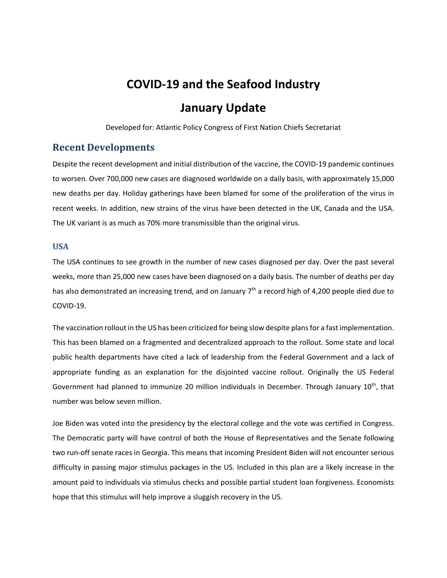# **COVID‐19 and the Seafood Industry January Update**

Developed for: Atlantic Policy Congress of First Nation Chiefs Secretariat

## **Recent Developments**

Despite the recent development and initial distribution of the vaccine, the COVID‐19 pandemic continues to worsen. Over 700,000 new cases are diagnosed worldwide on a daily basis, with approximately 15,000 new deaths per day. Holiday gatherings have been blamed for some of the proliferation of the virus in recent weeks. In addition, new strains of the virus have been detected in the UK, Canada and the USA. The UK variant is as much as 70% more transmissible than the original virus.

## **USA**

The USA continues to see growth in the number of new cases diagnosed per day. Over the past several weeks, more than 25,000 new cases have been diagnosed on a daily basis. The number of deaths per day has also demonstrated an increasing trend, and on January 7<sup>th</sup> a record high of 4,200 people died due to COVID‐19.

The vaccination rollout in the US has been criticized for being slow despite plans for a fast implementation. This has been blamed on a fragmented and decentralized approach to the rollout. Some state and local public health departments have cited a lack of leadership from the Federal Government and a lack of appropriate funding as an explanation for the disjointed vaccine rollout. Originally the US Federal Government had planned to immunize 20 million individuals in December. Through January 10<sup>th</sup>, that number was below seven million.

Joe Biden was voted into the presidency by the electoral college and the vote was certified in Congress. The Democratic party will have control of both the House of Representatives and the Senate following two run‐off senate races in Georgia. This means that incoming President Biden will not encounter serious difficulty in passing major stimulus packages in the US. Included in this plan are a likely increase in the amount paid to individuals via stimulus checks and possible partial student loan forgiveness. Economists hope that this stimulus will help improve a sluggish recovery in the US.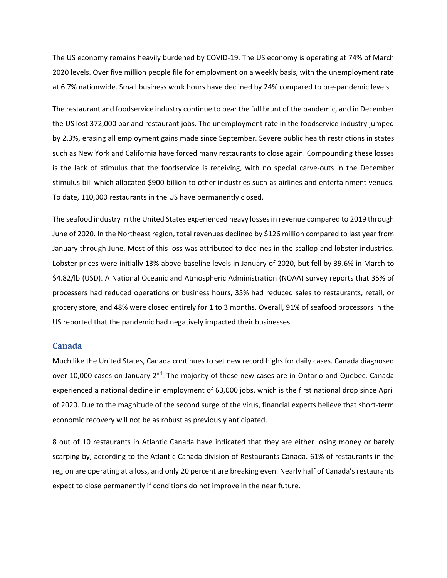The US economy remains heavily burdened by COVID‐19. The US economy is operating at 74% of March 2020 levels. Over five million people file for employment on a weekly basis, with the unemployment rate at 6.7% nationwide. Small business work hours have declined by 24% compared to pre‐pandemic levels.

The restaurant and foodservice industry continue to bear the full brunt of the pandemic, and in December the US lost 372,000 bar and restaurant jobs. The unemployment rate in the foodservice industry jumped by 2.3%, erasing all employment gains made since September. Severe public health restrictions in states such as New York and California have forced many restaurants to close again. Compounding these losses is the lack of stimulus that the foodservice is receiving, with no special carve-outs in the December stimulus bill which allocated \$900 billion to other industries such as airlines and entertainment venues. To date, 110,000 restaurants in the US have permanently closed.

The seafood industry in the United States experienced heavy losses in revenue compared to 2019 through June of 2020. In the Northeast region, total revenues declined by \$126 million compared to last year from January through June. Most of this loss was attributed to declines in the scallop and lobster industries. Lobster prices were initially 13% above baseline levels in January of 2020, but fell by 39.6% in March to \$4.82/lb (USD). A National Oceanic and Atmospheric Administration (NOAA) survey reports that 35% of processers had reduced operations or business hours, 35% had reduced sales to restaurants, retail, or grocery store, and 48% were closed entirely for 1 to 3 months. Overall, 91% of seafood processors in the US reported that the pandemic had negatively impacted their businesses.

## **Canada**

Much like the United States, Canada continues to set new record highs for daily cases. Canada diagnosed over 10,000 cases on January 2<sup>nd</sup>. The majority of these new cases are in Ontario and Quebec. Canada experienced a national decline in employment of 63,000 jobs, which is the first national drop since April of 2020. Due to the magnitude of the second surge of the virus, financial experts believe that short‐term economic recovery will not be as robust as previously anticipated.

8 out of 10 restaurants in Atlantic Canada have indicated that they are either losing money or barely scarping by, according to the Atlantic Canada division of Restaurants Canada. 61% of restaurants in the region are operating at a loss, and only 20 percent are breaking even. Nearly half of Canada's restaurants expect to close permanently if conditions do not improve in the near future.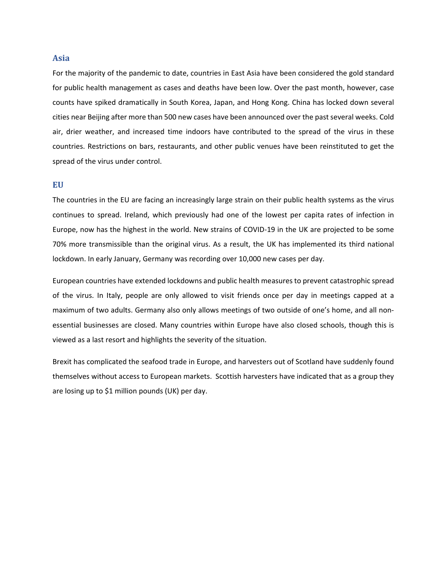#### **Asia**

For the majority of the pandemic to date, countries in East Asia have been considered the gold standard for public health management as cases and deaths have been low. Over the past month, however, case counts have spiked dramatically in South Korea, Japan, and Hong Kong. China has locked down several cities near Beijing after more than 500 new cases have been announced over the past several weeks. Cold air, drier weather, and increased time indoors have contributed to the spread of the virus in these countries. Restrictions on bars, restaurants, and other public venues have been reinstituted to get the spread of the virus under control.

#### **EU**

The countries in the EU are facing an increasingly large strain on their public health systems as the virus continues to spread. Ireland, which previously had one of the lowest per capita rates of infection in Europe, now has the highest in the world. New strains of COVID‐19 in the UK are projected to be some 70% more transmissible than the original virus. As a result, the UK has implemented its third national lockdown. In early January, Germany was recording over 10,000 new cases per day.

European countries have extended lockdowns and public health measures to prevent catastrophic spread of the virus. In Italy, people are only allowed to visit friends once per day in meetings capped at a maximum of two adults. Germany also only allows meetings of two outside of one's home, and all non‐ essential businesses are closed. Many countries within Europe have also closed schools, though this is viewed as a last resort and highlights the severity of the situation.

Brexit has complicated the seafood trade in Europe, and harvesters out of Scotland have suddenly found themselves without access to European markets. Scottish harvesters have indicated that as a group they are losing up to \$1 million pounds (UK) per day.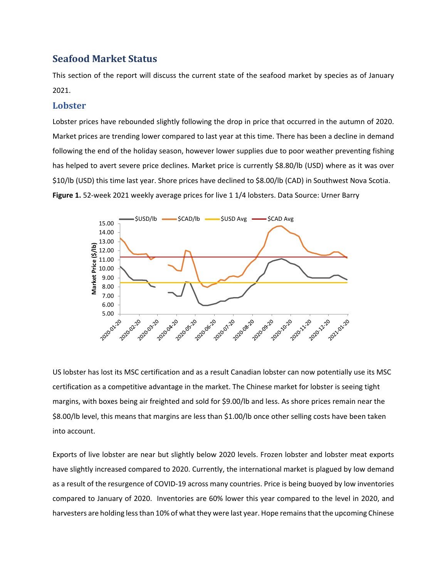# **Seafood Market Status**

This section of the report will discuss the current state of the seafood market by species as of January 2021.

## **Lobster**

Lobster prices have rebounded slightly following the drop in price that occurred in the autumn of 2020. Market prices are trending lower compared to last year at this time. There has been a decline in demand following the end of the holiday season, however lower supplies due to poor weather preventing fishing has helped to avert severe price declines. Market price is currently \$8.80/lb (USD) where as it was over \$10/lb (USD) this time last year. Shore prices have declined to \$8.00/lb (CAD) in Southwest Nova Scotia. **Figure 1.** 52‐week 2021 weekly average prices for live 1 1/4 lobsters. Data Source: Urner Barry



US lobster has lost its MSC certification and as a result Canadian lobster can now potentially use its MSC certification as a competitive advantage in the market. The Chinese market for lobster is seeing tight margins, with boxes being air freighted and sold for \$9.00/lb and less. As shore prices remain near the \$8.00/lb level, this means that margins are less than \$1.00/lb once other selling costs have been taken into account.

Exports of live lobster are near but slightly below 2020 levels. Frozen lobster and lobster meat exports have slightly increased compared to 2020. Currently, the international market is plagued by low demand as a result of the resurgence of COVID‐19 across many countries. Price is being buoyed by low inventories compared to January of 2020. Inventories are 60% lower this year compared to the level in 2020, and harvesters are holding less than 10% of what they were last year. Hope remains that the upcoming Chinese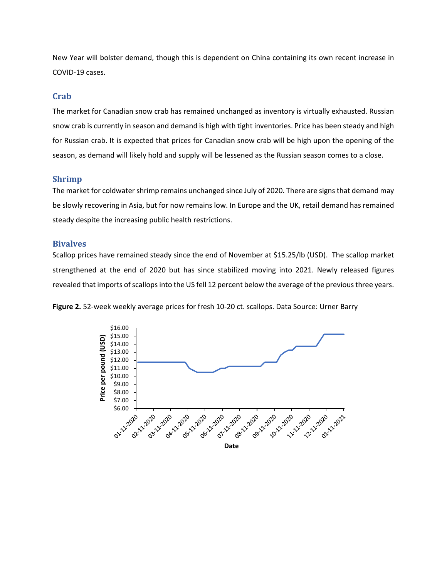New Year will bolster demand, though this is dependent on China containing its own recent increase in COVID‐19 cases.

#### **Crab**

The market for Canadian snow crab has remained unchanged as inventory is virtually exhausted. Russian snow crab is currently in season and demand is high with tight inventories. Price has been steady and high for Russian crab. It is expected that prices for Canadian snow crab will be high upon the opening of the season, as demand will likely hold and supply will be lessened as the Russian season comes to a close.

## **Shrimp**

The market for coldwater shrimp remains unchanged since July of 2020. There are signs that demand may be slowly recovering in Asia, but for now remains low. In Europe and the UK, retail demand has remained steady despite the increasing public health restrictions.

#### **Bivalves**

Scallop prices have remained steady since the end of November at \$15.25/lb (USD). The scallop market strengthened at the end of 2020 but has since stabilized moving into 2021. Newly released figures revealed that imports of scallops into the US fell 12 percent below the average of the previous three years.

**Figure 2.** 52‐week weekly average prices for fresh 10‐20 ct. scallops. Data Source: Urner Barry

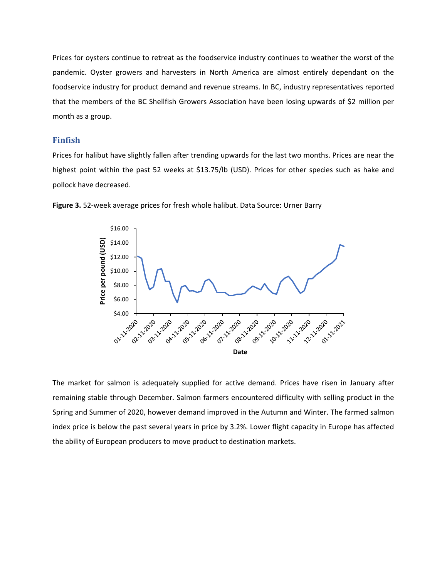Prices for oysters continue to retreat as the foodservice industry continues to weather the worst of the pandemic. Oyster growers and harvesters in North America are almost entirely dependant on the foodservice industry for product demand and revenue streams. In BC, industry representatives reported that the members of the BC Shellfish Growers Association have been losing upwards of \$2 million per month as a group.

#### **Finfish**

Prices for halibut have slightly fallen after trending upwards for the last two months. Prices are near the highest point within the past 52 weeks at \$13.75/lb (USD). Prices for other species such as hake and pollock have decreased.



**Figure 3.** 52‐week average prices for fresh whole halibut. Data Source: Urner Barry

The market for salmon is adequately supplied for active demand. Prices have risen in January after remaining stable through December. Salmon farmers encountered difficulty with selling product in the Spring and Summer of 2020, however demand improved in the Autumn and Winter. The farmed salmon index price is below the past several years in price by 3.2%. Lower flight capacity in Europe has affected the ability of European producers to move product to destination markets.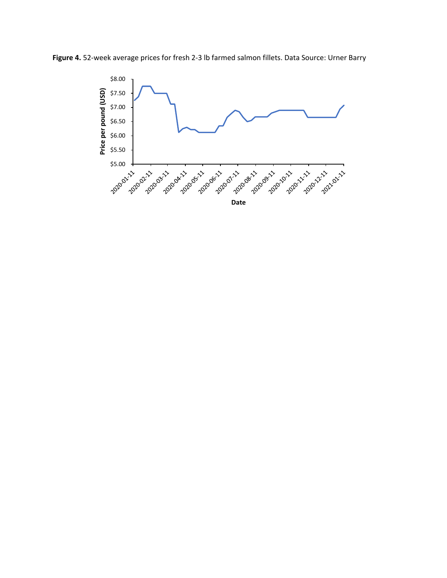Figure 4. 52-week average prices for fresh 2-3 lb farmed salmon fillets. Data Source: Urner Barry